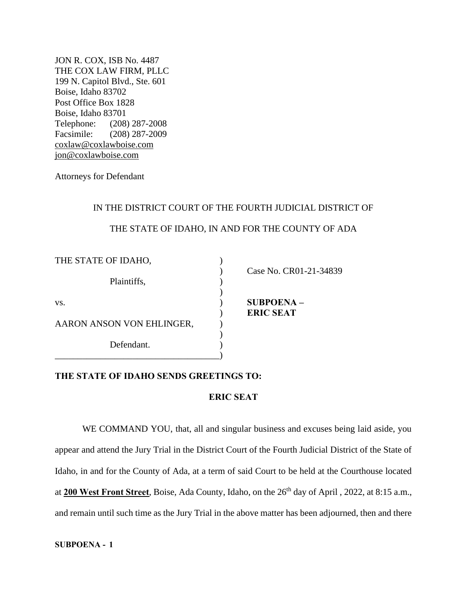JON R. COX, ISB No. 4487 THE COX LAW FIRM, PLLC 199 N. Capitol Blvd., Ste. 601 Boise, Idaho 83702 Post Office Box 1828 Boise, Idaho 83701 Telephone: (208) 287-2008 Facsimile: (208) 287-2009 [coxlaw@coxlawboise.com](mailto:coxlaw@coxlawboise.com) [jon@coxlawboise.com](mailto:jon@coxlawboise.com)

Attorneys for Defendant

## IN THE DISTRICT COURT OF THE FOURTH JUDICIAL DISTRICT OF

## THE STATE OF IDAHO, IN AND FOR THE COUNTY OF ADA

| THE STATE OF IDAHO,       |                        |
|---------------------------|------------------------|
|                           | Case No. CR01-21-34839 |
| Plaintiffs,               |                        |
|                           |                        |
| VS.                       | <b>SUBPOENA-</b>       |
|                           | <b>ERIC SEAT</b>       |
| AARON ANSON VON EHLINGER, |                        |
|                           |                        |
| Defendant.                |                        |
|                           |                        |

## **THE STATE OF IDAHO SENDS GREETINGS TO:**

## **ERIC SEAT**

WE COMMAND YOU, that, all and singular business and excuses being laid aside, you appear and attend the Jury Trial in the District Court of the Fourth Judicial District of the State of Idaho, in and for the County of Ada, at a term of said Court to be held at the Courthouse located at 200 West Front Street, Boise, Ada County, Idaho, on the 26<sup>th</sup> day of April , 2022, at 8:15 a.m., and remain until such time as the Jury Trial in the above matter has been adjourned, then and there

**SUBPOENA - 1**